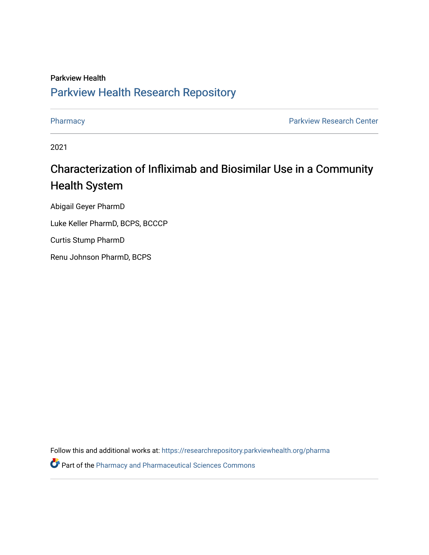### Parkview Health [Parkview Health Research Repository](https://researchrepository.parkviewhealth.org/)

[Pharmacy](https://researchrepository.parkviewhealth.org/pharma) **Pharmacy Pharmacy Pharmacy Pharmacy Pharmacy Pharmacy Pharmacy Pharmacy Pharmacy Pharmacy Pharmacy Pharmacy Pharmacy Pharmacy Pharmacy Pharmacy Pharmacy Pharmacy Pharmacy Pha** 

2021

### Characterization of Infliximab and Biosimilar Use in a Community Health System

Abigail Geyer PharmD

Luke Keller PharmD, BCPS, BCCCP

Curtis Stump PharmD

Renu Johnson PharmD, BCPS

Follow this and additional works at: [https://researchrepository.parkviewhealth.org/pharma](https://researchrepository.parkviewhealth.org/pharma?utm_source=researchrepository.parkviewhealth.org%2Fpharma%2F1&utm_medium=PDF&utm_campaign=PDFCoverPages) 

Part of the [Pharmacy and Pharmaceutical Sciences Commons](http://network.bepress.com/hgg/discipline/731?utm_source=researchrepository.parkviewhealth.org%2Fpharma%2F1&utm_medium=PDF&utm_campaign=PDFCoverPages)